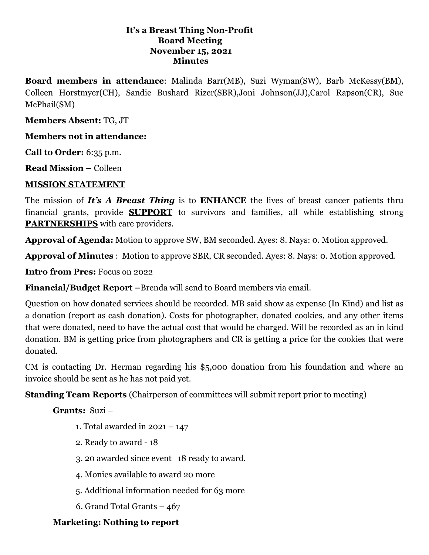## **It's a Breast Thing Non-Profit Board Meeting November 15, 2021 Minutes**

**Board members in attendance**: Malinda Barr(MB), Suzi Wyman(SW), Barb McKessy(BM), Colleen Horstmyer(CH), Sandie Bushard Rizer(SBR),Joni Johnson(JJ),Carol Rapson(CR), Sue McPhail(SM)

### **Members Absent:** TG, JT

### **Members not in attendance:**

**Call to Order:** 6:35 p.m.

**Read Mission –** Colleen

#### **MISSION STATEMENT**

The mission of *It's A Breast Thing* is to **ENHANCE** the lives of breast cancer patients thru financial grants, provide **SUPPORT** to survivors and families, all while establishing strong **PARTNERSHIPS** with care providers.

**Approval of Agenda:** Motion to approve SW, BM seconded. Ayes: 8. Nays: 0. Motion approved.

**Approval of Minutes** : Motion to approve SBR, CR seconded. Ayes: 8. Nays: 0. Motion approved.

**Intro from Pres:** Focus on 2022

**Financial/Budget Report –**Brenda will send to Board members via email.

Question on how donated services should be recorded. MB said show as expense (In Kind) and list as a donation (report as cash donation). Costs for photographer, donated cookies, and any other items that were donated, need to have the actual cost that would be charged. Will be recorded as an in kind donation. BM is getting price from photographers and CR is getting a price for the cookies that were donated.

CM is contacting Dr. Herman regarding his \$5,000 donation from his foundation and where an invoice should be sent as he has not paid yet.

**Standing Team Reports** (Chairperson of committees will submit report prior to meeting)

 **Grants:** Suzi –

- 1. Total awarded in 2021 147
- 2. Ready to award 18
- 3. 20 awarded since event 18 ready to award.
- 4. Monies available to award 20 more
- 5. Additional information needed for 63 more
- 6. Grand Total Grants 467

## **Marketing: Nothing to report**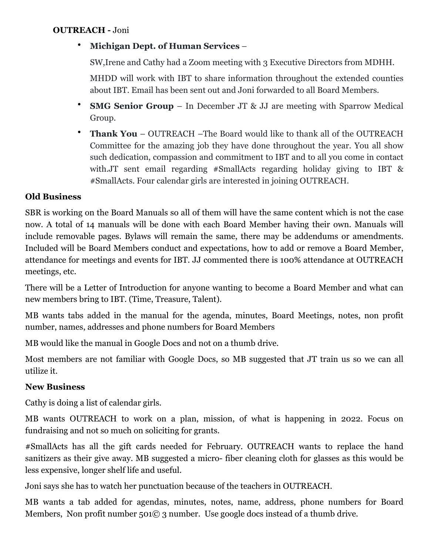## **OUTREACH -** Joni

• **Michigan Dept. of Human Services** –

SW,Irene and Cathy had a Zoom meeting with 3 Executive Directors from MDHH.

MHDD will work with IBT to share information throughout the extended counties about IBT. Email has been sent out and Joni forwarded to all Board Members.

- **SMG Senior Group** In December JT & JJ are meeting with Sparrow Medical Group.
- **Thank You** OUTREACH –The Board would like to thank all of the OUTREACH Committee for the amazing job they have done throughout the year. You all show such dedication, compassion and commitment to IBT and to all you come in contact with.JT sent email regarding #SmallActs regarding holiday giving to IBT & #SmallActs. Four calendar girls are interested in joining OUTREACH.

# **Old Business**

SBR is working on the Board Manuals so all of them will have the same content which is not the case now. A total of 14 manuals will be done with each Board Member having their own. Manuals will include removable pages. Bylaws will remain the same, there may be addendums or amendments. Included will be Board Members conduct and expectations, how to add or remove a Board Member, attendance for meetings and events for IBT. JJ commented there is 100% attendance at OUTREACH meetings, etc.

There will be a Letter of Introduction for anyone wanting to become a Board Member and what can new members bring to IBT. (Time, Treasure, Talent).

MB wants tabs added in the manual for the agenda, minutes, Board Meetings, notes, non profit number, names, addresses and phone numbers for Board Members

MB would like the manual in Google Docs and not on a thumb drive.

Most members are not familiar with Google Docs, so MB suggested that JT train us so we can all utilize it.

# **New Business**

Cathy is doing a list of calendar girls.

MB wants OUTREACH to work on a plan, mission, of what is happening in 2022. Focus on fundraising and not so much on soliciting for grants.

#SmallActs has all the gift cards needed for February. OUTREACH wants to replace the hand sanitizers as their give away. MB suggested a micro- fiber cleaning cloth for glasses as this would be less expensive, longer shelf life and useful.

Joni says she has to watch her punctuation because of the teachers in OUTREACH.

MB wants a tab added for agendas, minutes, notes, name, address, phone numbers for Board Members, Non profit number 501© 3 number. Use google docs instead of a thumb drive.